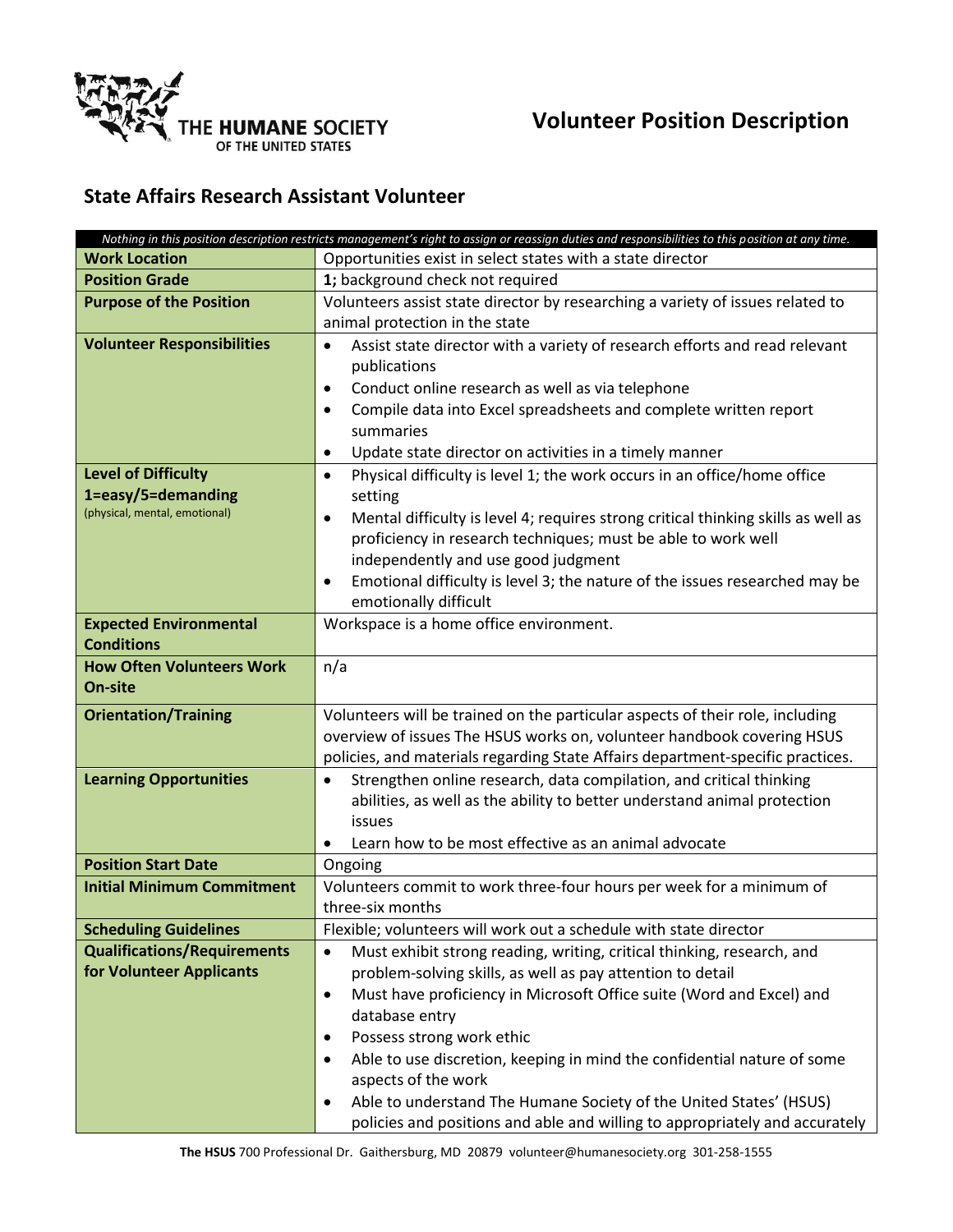

## **State Affairs Research Assistant Volunteer**

|                                                                                   | Nothing in this position description restricts management's right to assign or reassign duties and responsibilities to this position at any time.                                                                                                                   |
|-----------------------------------------------------------------------------------|---------------------------------------------------------------------------------------------------------------------------------------------------------------------------------------------------------------------------------------------------------------------|
| <b>Work Location</b>                                                              | Opportunities exist in select states with a state director                                                                                                                                                                                                          |
| <b>Position Grade</b>                                                             | 1; background check not required                                                                                                                                                                                                                                    |
| <b>Purpose of the Position</b>                                                    | Volunteers assist state director by researching a variety of issues related to                                                                                                                                                                                      |
|                                                                                   | animal protection in the state                                                                                                                                                                                                                                      |
| <b>Volunteer Responsibilities</b>                                                 | Assist state director with a variety of research efforts and read relevant<br>$\bullet$<br>publications<br>Conduct online research as well as via telephone<br>$\bullet$<br>Compile data into Excel spreadsheets and complete written report<br>$\bullet$           |
|                                                                                   | summaries                                                                                                                                                                                                                                                           |
|                                                                                   | Update state director on activities in a timely manner<br>$\bullet$                                                                                                                                                                                                 |
| <b>Level of Difficulty</b><br>1=easy/5=demanding<br>(physical, mental, emotional) | Physical difficulty is level 1; the work occurs in an office/home office<br>$\bullet$<br>setting<br>Mental difficulty is level 4; requires strong critical thinking skills as well as<br>$\bullet$<br>proficiency in research techniques; must be able to work well |
|                                                                                   | independently and use good judgment                                                                                                                                                                                                                                 |
|                                                                                   | Emotional difficulty is level 3; the nature of the issues researched may be<br>$\bullet$<br>emotionally difficult                                                                                                                                                   |
| <b>Expected Environmental</b>                                                     | Workspace is a home office environment.                                                                                                                                                                                                                             |
| <b>Conditions</b>                                                                 |                                                                                                                                                                                                                                                                     |
| <b>How Often Volunteers Work</b><br>On-site                                       | n/a                                                                                                                                                                                                                                                                 |
| <b>Orientation/Training</b>                                                       | Volunteers will be trained on the particular aspects of their role, including                                                                                                                                                                                       |
|                                                                                   | overview of issues The HSUS works on, volunteer handbook covering HSUS                                                                                                                                                                                              |
|                                                                                   | policies, and materials regarding State Affairs department-specific practices.                                                                                                                                                                                      |
| <b>Learning Opportunities</b>                                                     | Strengthen online research, data compilation, and critical thinking                                                                                                                                                                                                 |
|                                                                                   | abilities, as well as the ability to better understand animal protection                                                                                                                                                                                            |
|                                                                                   | issues                                                                                                                                                                                                                                                              |
|                                                                                   | Learn how to be most effective as an animal advocate                                                                                                                                                                                                                |
| <b>Position Start Date</b>                                                        | Ongoing                                                                                                                                                                                                                                                             |
| <b>Initial Minimum Commitment</b>                                                 | Volunteers commit to work three-four hours per week for a minimum of                                                                                                                                                                                                |
|                                                                                   | three-six months                                                                                                                                                                                                                                                    |
| <b>Scheduling Guidelines</b>                                                      | Flexible; volunteers will work out a schedule with state director                                                                                                                                                                                                   |
| <b>Qualifications/Requirements</b>                                                | Must exhibit strong reading, writing, critical thinking, research, and<br>$\bullet$                                                                                                                                                                                 |
| for Volunteer Applicants                                                          | problem-solving skills, as well as pay attention to detail                                                                                                                                                                                                          |
|                                                                                   | Must have proficiency in Microsoft Office suite (Word and Excel) and<br>$\bullet$                                                                                                                                                                                   |
|                                                                                   | database entry                                                                                                                                                                                                                                                      |
|                                                                                   | Possess strong work ethic<br>$\bullet$                                                                                                                                                                                                                              |
|                                                                                   | Able to use discretion, keeping in mind the confidential nature of some<br>$\bullet$                                                                                                                                                                                |
|                                                                                   | aspects of the work                                                                                                                                                                                                                                                 |
|                                                                                   | Able to understand The Humane Society of the United States' (HSUS)<br>$\bullet$                                                                                                                                                                                     |
|                                                                                   | policies and positions and able and willing to appropriately and accurately                                                                                                                                                                                         |